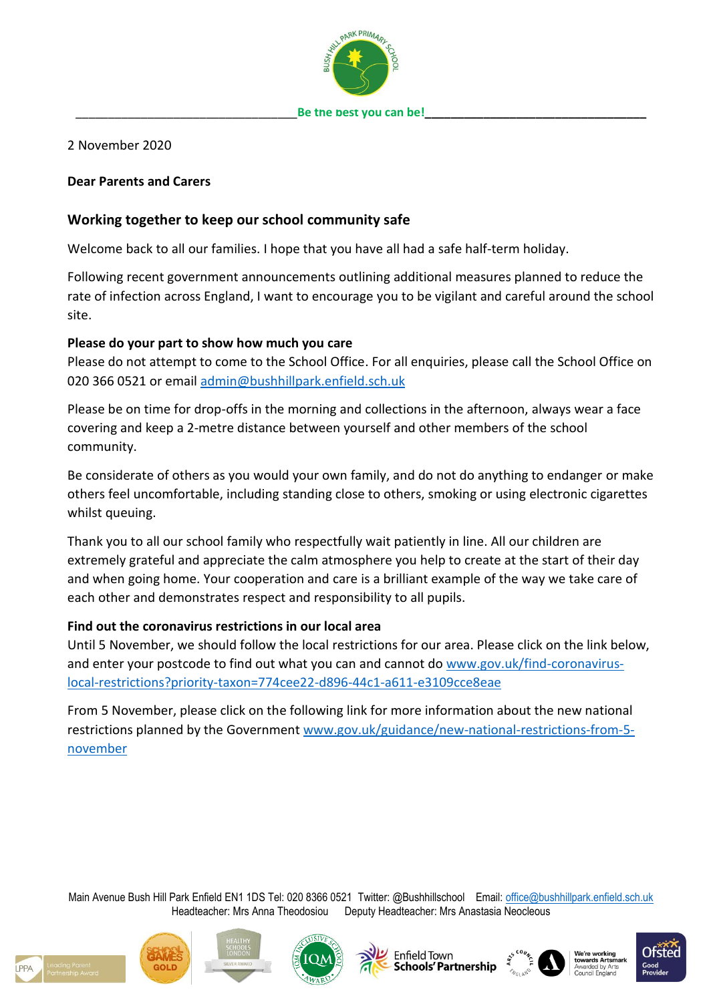

## 2 November 2020

#### **Dear Parents and Carers**

# **Working together to keep our school community safe**

Welcome back to all our families. I hope that you have all had a safe half-term holiday.

Following recent government announcements outlining additional measures planned to reduce the rate of infection across England, I want to encourage you to be vigilant and careful around the school site.

## **Please do your part to show how much you care**

Please do not attempt to come to the School Office. For all enquiries, please call the School Office on 020 366 0521 or email [admin@bushhillpark.enfield.sch.uk](mailto:admin@bushhillpark.enfield.sch.uk)

Please be on time for drop-offs in the morning and collections in the afternoon, always wear a face covering and keep a 2-metre distance between yourself and other members of the school community.

Be considerate of others as you would your own family, and do not do anything to endanger or make others feel uncomfortable, including standing close to others, smoking or using electronic cigarettes whilst queuing.

Thank you to all our school family who respectfully wait patiently in line. All our children are extremely grateful and appreciate the calm atmosphere you help to create at the start of their day and when going home. Your cooperation and care is a brilliant example of the way we take care of each other and demonstrates respect and responsibility to all pupils.

## **Find out the coronavirus restrictions in our local area**

Until 5 November, we should follow the local restrictions for our area. Please click on the link below, and enter your postcode to find out what you can and cannot do [www.gov.uk/find-coronavirus](http://www.gov.uk/find-coronavirus-local-restrictions?priority-taxon=774cee22-d896-44c1-a611-e3109cce8eae)[local-restrictions?priority-taxon=774cee22-d896-44c1-a611-e3109cce8eae](http://www.gov.uk/find-coronavirus-local-restrictions?priority-taxon=774cee22-d896-44c1-a611-e3109cce8eae)

From 5 November, please click on the following link for more information about the new national restrictions planned by the Government [www.gov.uk/guidance/new-national-restrictions-from-5](http://www.gov.uk/guidance/new-national-restrictions-from-5-november) [november](http://www.gov.uk/guidance/new-national-restrictions-from-5-november)

Main Avenue Bush Hill Park Enfield EN1 1DS Tel: 020 8366 0521 Twitter: @Bushhillschool Email: [office@bushhillpark.enfield.sch.uk](mailto:office@bushhillpark.enfield.sch.uk) Headteacher: Mrs Anna Theodosiou Deputy Headteacher: Mrs Anastasia Neocleous









**Enfield Town** Schools' Partnershir